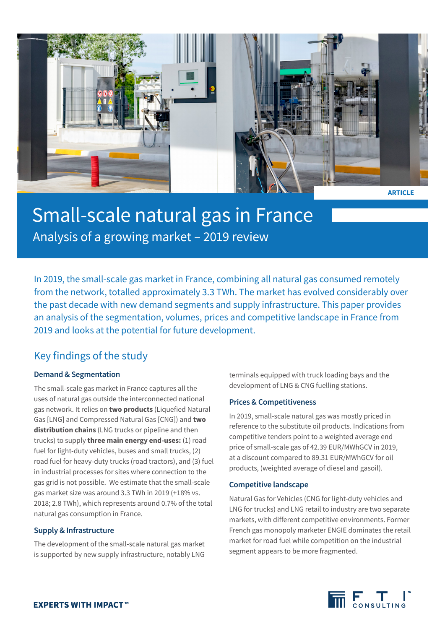

**ARTICLE**

# Small-scale natural gas in France Analysis of a growing market – 2019 review

In 2019, the small-scale gas market in France, combining all natural gas consumed remotely from the network, totalled approximately 3.3 TWh. The market has evolved considerably over the past decade with new demand segments and supply infrastructure. This paper provides an analysis of the segmentation, volumes, prices and competitive landscape in France from 2019 and looks at the potential for future development.

### Key findings of the study

### **Demand & Segmentation**

The small-scale gas market in France captures all the uses of natural gas outside the interconnected national gas network. It relies on **two products** (Liquefied Natural Gas [LNG] and Compressed Natural Gas [CNG]) and **two distribution chains** (LNG trucks or pipeline and then trucks) to supply **three main energy end-uses:** (1) road fuel for light-duty vehicles, buses and small trucks, (2) road fuel for heavy-duty trucks (road tractors), and (3) fuel in industrial processes for sites where connection to the gas grid is not possible. We estimate that the small-scale gas market size was around 3.3 TWh in 2019 (+18% vs. 2018; 2.8 TWh), which represents around 0.7% of the total natural gas consumption in France.

#### **Supply & Infrastructure**

The development of the small-scale natural gas market is supported by new supply infrastructure, notably LNG terminals equipped with truck loading bays and the development of LNG & CNG fuelling stations.

#### **Prices & Competitiveness**

In 2019, small-scale natural gas was mostly priced in reference to the substitute oil products. Indications from competitive tenders point to a weighted average end price of small-scale gas of 42.39 EUR/MWhGCV in 2019, at a discount compared to 89.31 EUR/MWhGCV for oil products, (weighted average of diesel and gasoil).

#### **Competitive landscape**

Natural Gas for Vehicles (CNG for light-duty vehicles and LNG for trucks) and LNG retail to industry are two separate markets, with different competitive environments. Former French gas monopoly marketer ENGIE dominates the retail market for road fuel while competition on the industrial segment appears to be more fragmented.

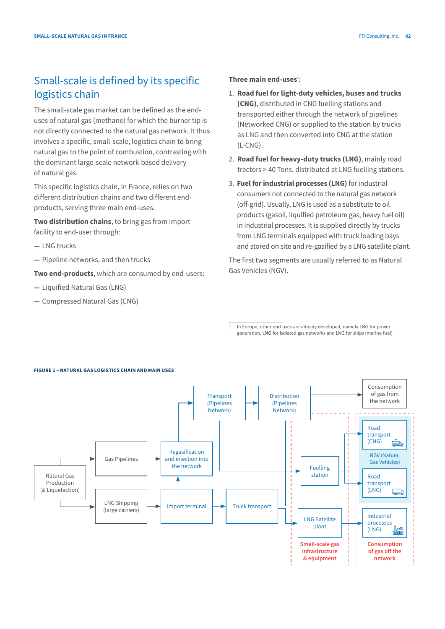## Small-scale is defined by its specific logistics chain

The small-scale gas market can be defined as the enduses of natural gas (methane) for which the burner tip is not directly connected to the natural gas network. It thus involves a specific, small-scale, logistics chain to bring natural gas to the point of combustion, contrasting with the dominant large-scale network-based delivery of natural gas.

This specific logistics chain, in France, relies on two different distribution chains and two different endproducts, serving three main end-uses.

**Two distribution chains**, to bring gas from import facility to end-user through:

- **—** LNG trucks
- **—** Pipeline networks, and then trucks

**Two end-products**, which are consumed by end-users:

- **—** Liquified Natural Gas (LNG)
- **—** Compressed Natural Gas (CNG)

#### Three main end-uses<sup>1</sup>:

- 1. **Road fuel for light-duty vehicles, buses and trucks (CNG)**, distributed in CNG fuelling stations and transported either through the network of pipelines (Networked CNG) or supplied to the station by trucks as LNG and then converted into CNG at the station  $(L-CNG)$ .
- 2. **Road fuel for heavy-duty trucks (LNG)**, mainly road tractors > 40 Tons, distributed at LNG fuelling stations.
- 3. **Fuel for industrial processes (LNG)** for industrial consumers not connected to the natural gas network (off-grid). Usually, LNG is used as a substitute to oil products (gasoil, liquified petroleum gas, heavy fuel oil) in industrial processes. It is supplied directly by trucks from LNG terminals equipped with truck loading bays and stored on site and re-gasified by a LNG satellite plant.

The first two segments are usually referred to as Natural Gas Vehicles (NGV).

1 In Europe, other end-uses are already developed, namely LNG for power generation, LNG for isolated gas networks and LNG for ships (marine fuel)



#### **FIGURE 1 – NATURAL GAS LOGISTICS CHAIN AND MAIN USES**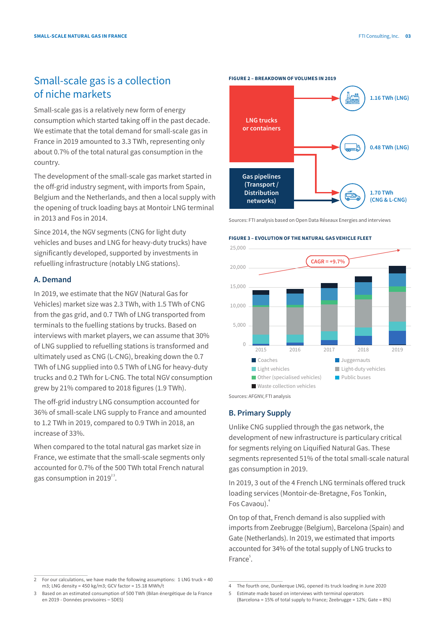### Small-scale gas is a collection of niche markets

Small-scale gas is a relatively new form of energy consumption which started taking off in the past decade. We estimate that the total demand for small-scale gas in France in 2019 amounted to 3.3 TWh, representing only about 0.7% of the total natural gas consumption in the country.

The development of the small-scale gas market started in the off-grid industry segment, with imports from Spain, Belgium and the Netherlands, and then a local supply with the opening of truck loading bays at Montoir LNG terminal in 2013 and Fos in 2014.

Since 2014, the NGV segments (CNG for light duty vehicles and buses and LNG for heavy-duty trucks) have significantly developed, supported by investments in refuelling infrastructure (notably LNG stations).

#### **A. Demand**

In 2019, we estimate that the NGV (Natural Gas for Vehicles) market size was 2.3 TWh, with 1.5 TWh of CNG from the gas grid, and 0.7 TWh of LNG transported from terminals to the fuelling stations by trucks. Based on interviews with market players, we can assume that 30% of LNG supplied to refuelling stations is transformed and ultimately used as CNG (L-CNG), breaking down the 0.7 TWh of LNG supplied into 0.5 TWh of LNG for heavy-duty trucks and 0.2 TWh for L-CNG. The total NGV consumption grew by 21% compared to 2018 figures (1.9 TWh).

The off-grid industry LNG consumption accounted for 36% of small-scale LNG supply to France and amounted to 1.2 TWh in 2019, compared to 0.9 TWh in 2018, an increase of 33%.

When compared to the total natural gas market size in France, we estimate that the small-scale segments only accounted for 0.7% of the 500 TWh total French natural gas consumption in 2019 $^{23}$ .

Sources: FTI analysis based on Open Data Réseaux Energies and interviews

#### **FIGURE 3 – EVOLUTION OF THE NATURAL GAS VEHICLE FLEET**

**FIGURE 2 – BREAKDOWN OF VOLUMES IN 2019**



Sources: AFGNV, FTI analysis

#### **B. Primary Supply**

Unlike CNG supplied through the gas network, the development of new infrastructure is particulary critical for segments relying on Liquified Natural Gas. These segments represented 51% of the total small-scale natural gas consumption in 2019.

In 2019, 3 out of the 4 French LNG terminals offered truck loading services (Montoir-de-Bretagne, Fos Tonkin, Fos Cavaou).<sup>4</sup>

On top of that, French demand is also supplied with imports from Zeebrugge (Belgium), Barcelona (Spain) and Gate (Netherlands). In 2019, we estimated that imports accounted for 34% of the total supply of LNG trucks to France<sup>5</sup>.

<sup>2</sup> For our calculations, we have made the following assumptions: 1 LNG truck = 40 m3; LNG density = 450 kg/m3; GCV factor = 15.18 MWh/t

Based on an estimated consumption of 500 TWh (Bilan énergétique de la France en 2019 - Données provisoires – SDES)

**LNG trucks or containers Gas pipelines (Transport / Distribution networks) 1.16 TWh (LNG) 0.48 TWh (LNG) 1.70 TWh (CNG & L-CNG)**

<sup>4</sup> The fourth one, Dunkerque LNG, opened its truck loading in June 2020

<sup>5</sup> Estimate made based on interviews with terminal operators (Barcelona = 15% of total supply to France; Zeebrugge = 12%; Gate = 8%)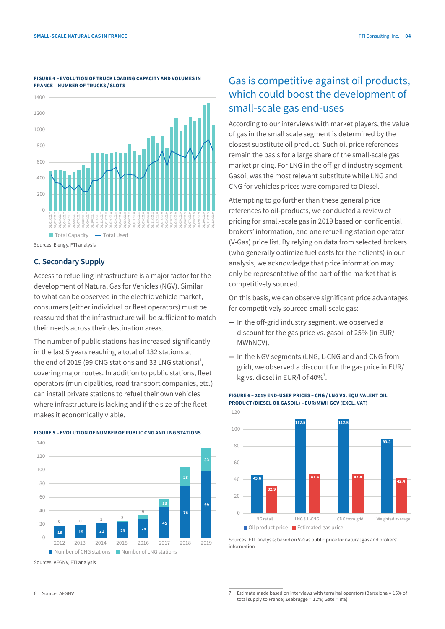

#### **FIGURE 4 – EVOLUTION OF TRUCK LOADING CAPACITY AND VOLUMES IN FRANCE – NUMBER OF TRUCKS / SLOTS**

#### **C. Secondary Supply**

Access to refuelling infrastructure is a major factor for the development of Natural Gas for Vehicles (NGV). Similar to what can be observed in the electric vehicle market, consumers (either individual or fleet operators) must be reassured that the infrastructure will be sufficient to match their needs across their destination areas.

The number of public stations has increased significantly in the last 5 years reaching a total of 132 stations at the end of 2019 (99 CNG stations and 33 LNG stations) $\degree$ , covering major routes. In addition to public stations, fleet operators (municipalities, road transport companies, etc.) can install private stations to refuel their own vehicles where infrastructure is lacking and if the size of the fleet makes it economically viable.



**FIGURE 5 – EVOLUTION OF NUMBER OF PUBLIC CNG AND LNG STATIONS**

#### Sources: AFGNV, FTI analysis

### Gas is competitive against oil products, which could boost the development of small-scale gas end-uses

According to our interviews with market players, the value of gas in the small scale segment is determined by the closest substitute oil product. Such oil price references remain the basis for a large share of the small-scale gas market pricing. For LNG in the off-grid industry segment, Gasoil was the most relevant substitute while LNG and CNG for vehicles prices were compared to Diesel.

Attempting to go further than these general price references to oil-products, we conducted a review of pricing for small-scale gas in 2019 based on confidential brokers' information, and one refuelling station operator (V-Gas) price list. By relying on data from selected brokers (who generally optimize fuel costs for their clients) in our analysis, we acknowledge that price information may only be representative of the part of the market that is competitively sourced.

On this basis, we can observe significant price advantages for competitively sourced small-scale gas:

- **—** In the off-grid industry segment, we observed a discount for the gas price vs. gasoil of 25% (in EUR/ MWhNCV).
- **—** In the NGV segments (LNG, L-CNG and and CNG from grid), we observed a discount for the gas price in EUR/ kg vs. diesel in EUR/l of  $40\%$ <sup>7</sup>.



#### **FIGURE 6 – 2019 END-USER PRICES – CNG / LNG VS. EQUIVALENT OIL PRODUCT (DIESEL OR GASOIL) – EUR/MWH GCV (EXCL. VAT)**

Sources: FTI analysis; based on V-Gas public price for natural gas and brokers' information

Source: AFGNV

Estimate made based on interviews with terminal operators (Barcelona = 15% of total supply to France; Zeebrugge = 12%; Gate = 8%)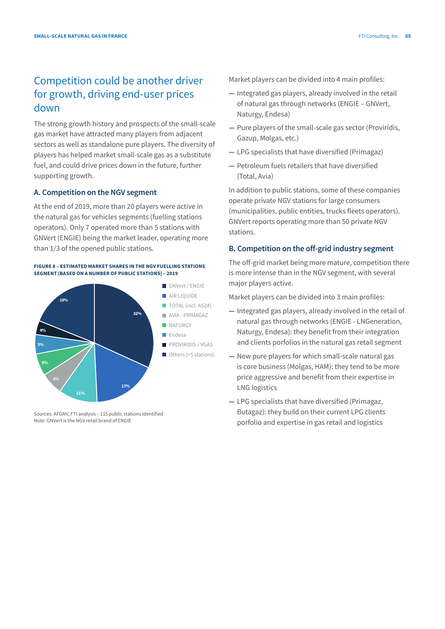### Competition could be another driver for growth, driving end-user prices down

The strong growth history and prospects of the small-scale gas market have attracted many players from adjacent sectors as well as standalone pure players. The diversity of players has helped market small-scale gas as a substitute fuel, and could drive prices down in the future, further supporting growth.

#### **A. Competition on the NGV segment**

At the end of 2019, more than 20 players were active in the natural gas for vehicles segments (fuelling stations operators). Only 7 operated more than 5 stations with GNVert (ENGIE) being the market leader, operating more than 1/3 of the opened public stations.

#### **FIGURE 8 – ESTIMATED MARKET SHARES IN THE NGV FUELLING STATIONS SEGMENT (BASED ON A NUMBER OF PUBLIC STATIONS) – 2019**



Sources: AFGNV, FTI analysis – 115 public stations identified Note: GNVert is the NGV retail brand of ENGIE

Market players can be divided into 4 main profiles:

- **—** Integrated gas players, already involved in the retail of natural gas through networks (ENGIE – GNVert, Naturgy, Endesa)
- **—** Pure players of the small-scale gas sector (Proviridis, Gazup, Molgas, etc.)
- **—** LPG specialists that have diversified (Primagaz)
- **—** Petroleum fuels retailers that have diversified (Total, Avia)

In addition to public stations, some of these companies operate private NGV stations for large consumers (municipalities, public entities, trucks fleets operators). GNVert reports operating more than 50 private NGV stations.

### **B. Competition on the off-grid industry segment**

The off-grid market being more mature, competition there is more intense than in the NGV segment, with several major players active.

Market players can be divided into 3 main profiles:

- **—** Integrated gas players, already involved in the retail of natural gas through networks (ENGIE - LNGeneration, Naturgy, Endesa): they benefit from their integration and clients porfolios in the natural gas retail segment
- **—** New pure players for which small-scale natural gas is core business (Molgas, HAM): they tend to be more price aggressive and benefit from their expertise in LNG logistics
- **—** LPG specialists that have diversified (Primagaz, Butagaz): they build on their current LPG clients porfolio and expertise in gas retail and logistics